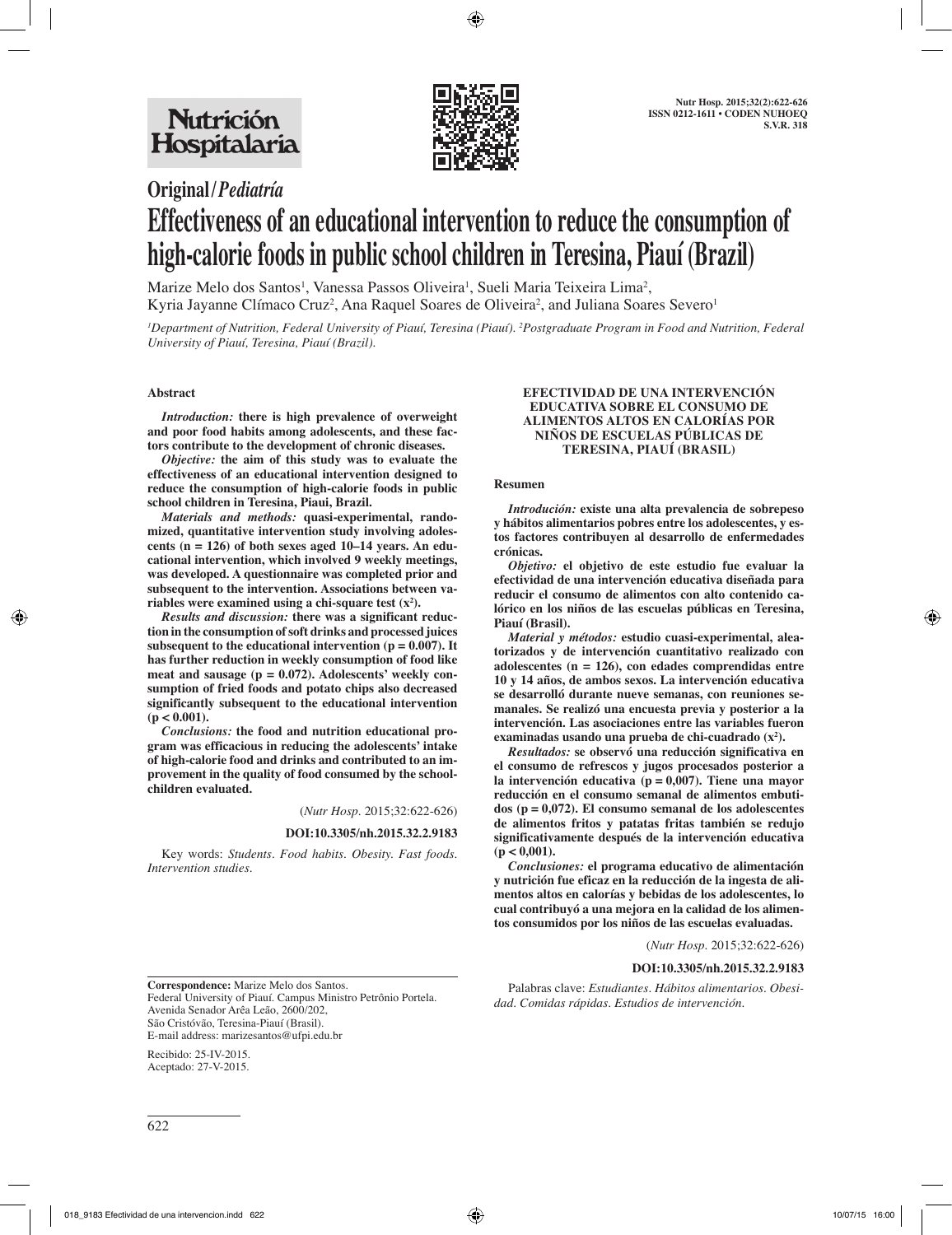

# **Original/***Pediatría* **Effectiveness of an educational intervention to reduce the consumption of high-calorie foods in public school children in Teresina, Piauí (Brazil)**

Marize Melo dos Santos<sup>1</sup>, Vanessa Passos Oliveira<sup>1</sup>, Sueli Maria Teixeira Lima<sup>2</sup>, Kyria Jayanne Clímaco Cruz<sup>2</sup>, Ana Raquel Soares de Oliveira<sup>2</sup>, and Juliana Soares Severo<sup>1</sup>

*1 Department of Nutrition, Federal University of Piauí, Teresina (Piauí). 2 Postgraduate Program in Food and Nutrition, Federal University of Piauí, Teresina, Piauí (Brazil).*

## **Abstract**

*Introduction:* **there is high prevalence of overweight and poor food habits among adolescents, and these factors contribute to the development of chronic diseases.** 

*Objective:* **the aim of this study was to evaluate the effectiveness of an educational intervention designed to reduce the consumption of high-calorie foods in public school children in Teresina, Piaui, Brazil.** 

*Materials and methods:* **quasi-experimental, randomized, quantitative intervention study involving adolescents (n = 126) of both sexes aged 10–14 years. An educational intervention, which involved 9 weekly meetings, was developed. A questionnaire was completed prior and subsequent to the intervention. Associations between variables were examined using a chi-square test (x2 ).** 

*Results and discussion:* **there was a significant reduction in the consumption of soft drinks and processed juices subsequent to the educational intervention (** $p = 0.007$ **). It has further reduction in weekly consumption of food like meat and sausage (p = 0.072). Adolescents' weekly consumption of fried foods and potato chips also decreased significantly subsequent to the educational intervention**   $(p < 0.001)$ .

*Conclusions:* **the food and nutrition educational program was efficacious in reducing the adolescents' intake of high-calorie food and drinks and contributed to an improvement in the quality of food consumed by the schoolchildren evaluated.**

(*Nutr Hosp.* 2015;32:622-626)

**DOI:10.3305/nh.2015.32.2.9183**

Key words: *Students. Food habits. Obesity. Fast foods. Intervention studies.*

#### **EFECTIVIDAD DE UNA INTERVENCIÓN EDUCATIVA SOBRE EL CONSUMO DE ALIMENTOS ALTOS EN CALORÍAS POR NIÑOS DE ESCUELAS PÚBLICAS DE TERESINA, PIAUÍ (BRASIL)**

#### **Resumen**

*Introdución:* **existe una alta prevalencia de sobrepeso y hábitos alimentarios pobres entre los adolescentes, y estos factores contribuyen al desarrollo de enfermedades crónicas.** 

*Objetivo:* **el objetivo de este estudio fue evaluar la efectividad de una intervención educativa diseñada para reducir el consumo de alimentos con alto contenido calórico en los niños de las escuelas públicas en Teresina, Piauí (Brasil).** 

*Material y métodos:* **estudio cuasi-experimental, aleatorizados y de intervención cuantitativo realizado con adolescentes (n = 126), con edades comprendidas entre 10 y 14 años, de ambos sexos. La intervención educativa se desarrolló durante nueve semanas, con reuniones semanales. Se realizó una encuesta previa y posterior a la intervención. Las asociaciones entre las variables fueron**  examinadas usando una prueba de chi-cuadrado (x<sup>2</sup>).

*Resultados:* **se observó una reducción significativa en el consumo de refrescos y jugos procesados posterior a la intervención educativa (p = 0,007). Tiene una mayor reducción en el consumo semanal de alimentos embutidos (p = 0,072). El consumo semanal de los adolescentes de alimentos fritos y patatas fritas también se redujo significativamente después de la intervención educativa (p < 0,001).** 

*Conclusiones:* **el programa educativo de alimentación y nutrición fue eficaz en la reducción de la ingesta de alimentos altos en calorías y bebidas de los adolescentes, lo cual contribuyó a una mejora en la calidad de los alimentos consumidos por los niños de las escuelas evaluadas.**

Palabras clave: *Estudiantes. Hábitos alimentarios. Obesi-*

*dad. Comidas rápidas. Estudios de intervención.*

(*Nutr Hosp.* 2015;32:622-626)

#### **DOI:10.3305/nh.2015.32.2.9183**

**Correspondence:** Marize Melo dos Santos. Federal University of Piauí. Campus Ministro Petrônio Portela. Avenida Senador Arêa Leão, 2600/202, São Cristóvão, Teresina-Piauí (Brasil). E-mail address: marizesantos@ufpi.edu.br

Recibido: 25-IV-2015. Aceptado: 27-V-2015.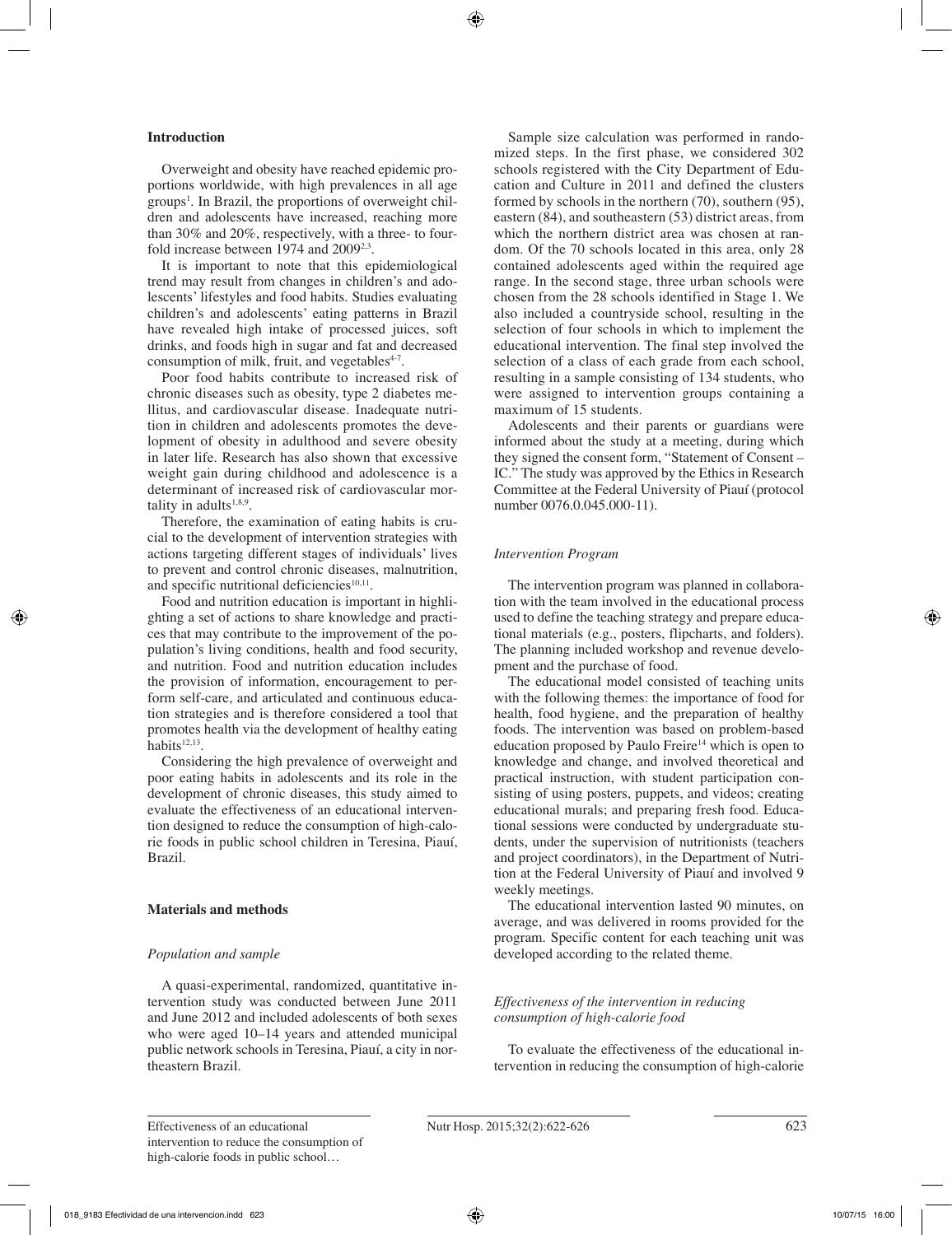# **Introduction**

Overweight and obesity have reached epidemic proportions worldwide, with high prevalences in all age groups<sup>1</sup>. In Brazil, the proportions of overweight children and adolescents have increased, reaching more than 30% and 20%, respectively, with a three- to fourfold increase between 1974 and 2009<sup>2,3</sup>.

It is important to note that this epidemiological trend may result from changes in children's and adolescents' lifestyles and food habits. Studies evaluating children's and adolescents' eating patterns in Brazil have revealed high intake of processed juices, soft drinks, and foods high in sugar and fat and decreased consumption of milk, fruit, and vegetables $4-7$ .

Poor food habits contribute to increased risk of chronic diseases such as obesity, type 2 diabetes mellitus, and cardiovascular disease. Inadequate nutrition in children and adolescents promotes the development of obesity in adulthood and severe obesity in later life. Research has also shown that excessive weight gain during childhood and adolescence is a determinant of increased risk of cardiovascular mortality in adults $1,8,9$ .

Therefore, the examination of eating habits is crucial to the development of intervention strategies with actions targeting different stages of individuals' lives to prevent and control chronic diseases, malnutrition, and specific nutritional deficiencies $10,11$ .

Food and nutrition education is important in highlighting a set of actions to share knowledge and practices that may contribute to the improvement of the population's living conditions, health and food security, and nutrition. Food and nutrition education includes the provision of information, encouragement to perform self-care, and articulated and continuous education strategies and is therefore considered a tool that promotes health via the development of healthy eating habits $12,13$ .

Considering the high prevalence of overweight and poor eating habits in adolescents and its role in the development of chronic diseases, this study aimed to evaluate the effectiveness of an educational intervention designed to reduce the consumption of high-calorie foods in public school children in Teresina, Piauí, Brazil.

# **Materials and methods**

# *Population and sample*

A quasi-experimental, randomized, quantitative intervention study was conducted between June 2011 and June 2012 and included adolescents of both sexes who were aged 10–14 years and attended municipal public network schools in Teresina, Piauí, a city in northeastern Brazil.

Sample size calculation was performed in randomized steps. In the first phase, we considered 302 schools registered with the City Department of Education and Culture in 2011 and defined the clusters formed by schools in the northern (70), southern (95), eastern (84), and southeastern (53) district areas, from which the northern district area was chosen at random. Of the 70 schools located in this area, only 28 contained adolescents aged within the required age range. In the second stage, three urban schools were chosen from the 28 schools identified in Stage 1. We also included a countryside school, resulting in the selection of four schools in which to implement the educational intervention. The final step involved the selection of a class of each grade from each school, resulting in a sample consisting of 134 students, who were assigned to intervention groups containing a maximum of 15 students.

Adolescents and their parents or guardians were informed about the study at a meeting, during which they signed the consent form, "Statement of Consent – IC." The study was approved by the Ethics in Research Committee at the Federal University of Piauí (protocol number 0076.0.045.000-11).

# *Intervention Program*

The intervention program was planned in collaboration with the team involved in the educational process used to define the teaching strategy and prepare educational materials (e.g., posters, flipcharts, and folders). The planning included workshop and revenue development and the purchase of food.

The educational model consisted of teaching units with the following themes: the importance of food for health, food hygiene, and the preparation of healthy foods. The intervention was based on problem-based education proposed by Paulo Freire<sup>14</sup> which is open to knowledge and change, and involved theoretical and practical instruction, with student participation consisting of using posters, puppets, and videos; creating educational murals; and preparing fresh food. Educational sessions were conducted by undergraduate students, under the supervision of nutritionists (teachers and project coordinators), in the Department of Nutrition at the Federal University of Piauí and involved 9 weekly meetings.

The educational intervention lasted 90 minutes, on average, and was delivered in rooms provided for the program. Specific content for each teaching unit was developed according to the related theme.

# *Effectiveness of the intervention in reducing consumption of high-calorie food*

To evaluate the effectiveness of the educational intervention in reducing the consumption of high-calorie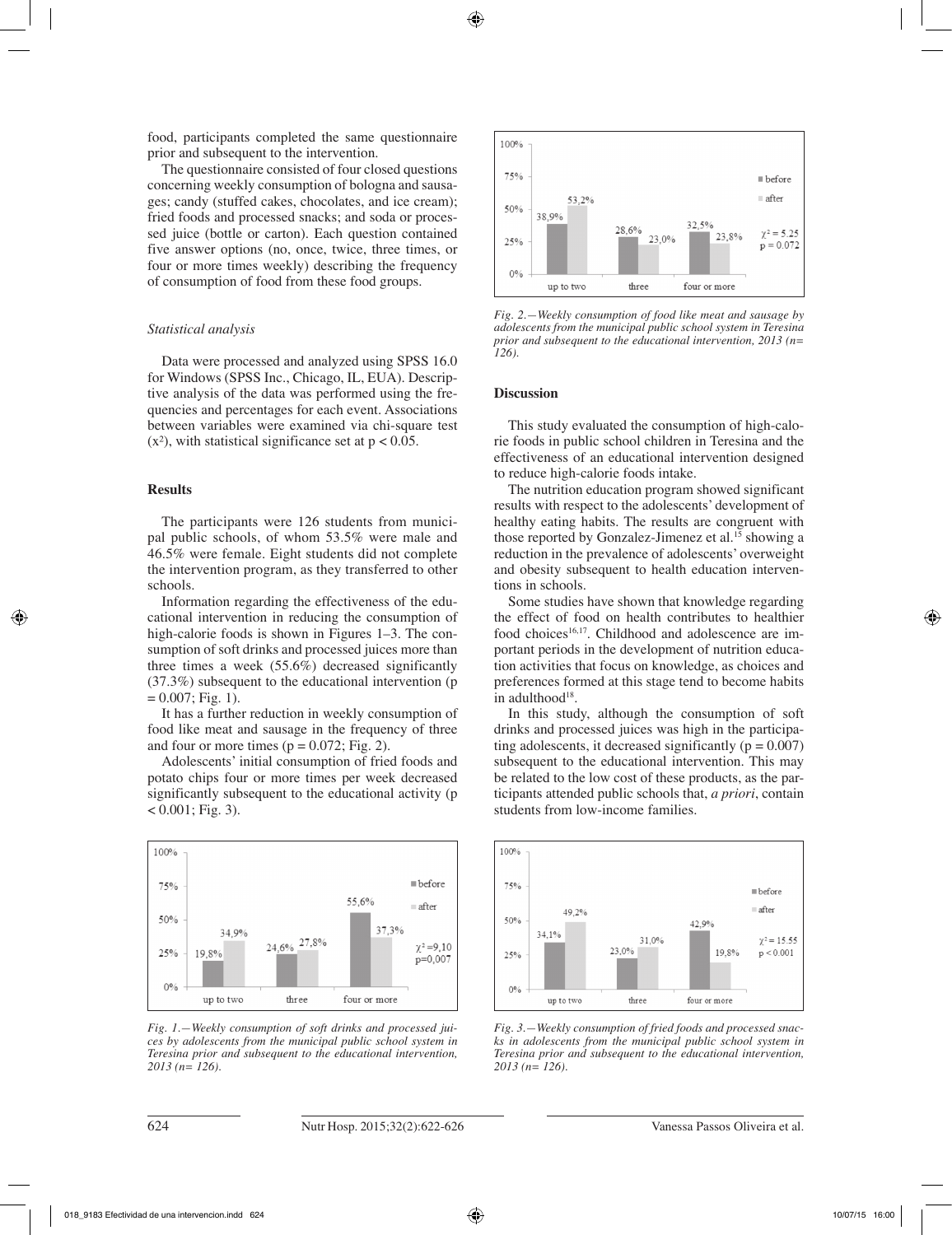food, participants completed the same questionnaire prior and subsequent to the intervention.

The questionnaire consisted of four closed questions concerning weekly consumption of bologna and sausages; candy (stuffed cakes, chocolates, and ice cream); fried foods and processed snacks; and soda or processed juice (bottle or carton). Each question contained five answer options (no, once, twice, three times, or four or more times weekly) describing the frequency of consumption of food from these food groups.

## *Statistical analysis*

Data were processed and analyzed using SPSS 16.0 for Windows (SPSS Inc., Chicago, IL, EUA). Descriptive analysis of the data was performed using the frequencies and percentages for each event. Associations between variables were examined via chi-square test  $(x<sup>2</sup>)$ , with statistical significance set at  $p < 0.05$ .

#### **Results**

The participants were 126 students from municipal public schools, of whom 53.5% were male and 46.5% were female. Eight students did not complete the intervention program, as they transferred to other schools.

Information regarding the effectiveness of the educational intervention in reducing the consumption of high-calorie foods is shown in Figures 1–3. The consumption of soft drinks and processed juices more than three times a week (55.6%) decreased significantly (37.3%) subsequent to the educational intervention (p  $= 0.007$ ; Fig. 1).

It has a further reduction in weekly consumption of food like meat and sausage in the frequency of three and four or more times  $(p = 0.072; Fig. 2)$ .

Adolescents' initial consumption of fried foods and potato chips four or more times per week decreased significantly subsequent to the educational activity (p  $< 0.001$ ; Fig. 3).



*Fig. 1.—Weekly consumption of soft drinks and processed juices by adolescents from the municipal public school system in Teresina prior and subsequent to the educational intervention, 2013 (n= 126).*



*Fig. 2.—Weekly consumption of food like meat and sausage by adolescents from the municipal public school system in Teresina prior and subsequent to the educational intervention, 2013 (n= 126).*

#### **Discussion**

This study evaluated the consumption of high-calorie foods in public school children in Teresina and the effectiveness of an educational intervention designed to reduce high-calorie foods intake.

The nutrition education program showed significant results with respect to the adolescents' development of healthy eating habits. The results are congruent with those reported by Gonzalez-Jimenez et al.<sup>15</sup> showing a reduction in the prevalence of adolescents' overweight and obesity subsequent to health education interventions in schools.

Some studies have shown that knowledge regarding the effect of food on health contributes to healthier food choices<sup>16,17</sup>. Childhood and adolescence are important periods in the development of nutrition education activities that focus on knowledge, as choices and preferences formed at this stage tend to become habits in adulthood $18$ .

In this study, although the consumption of soft drinks and processed juices was high in the participating adolescents, it decreased significantly  $(p = 0.007)$ subsequent to the educational intervention. This may be related to the low cost of these products, as the participants attended public schools that, *a priori*, contain students from low-income families.



*Fig. 3.—Weekly consumption of fried foods and processed snacks in adolescents from the municipal public school system in Teresina prior and subsequent to the educational intervention, 2013 (n= 126).*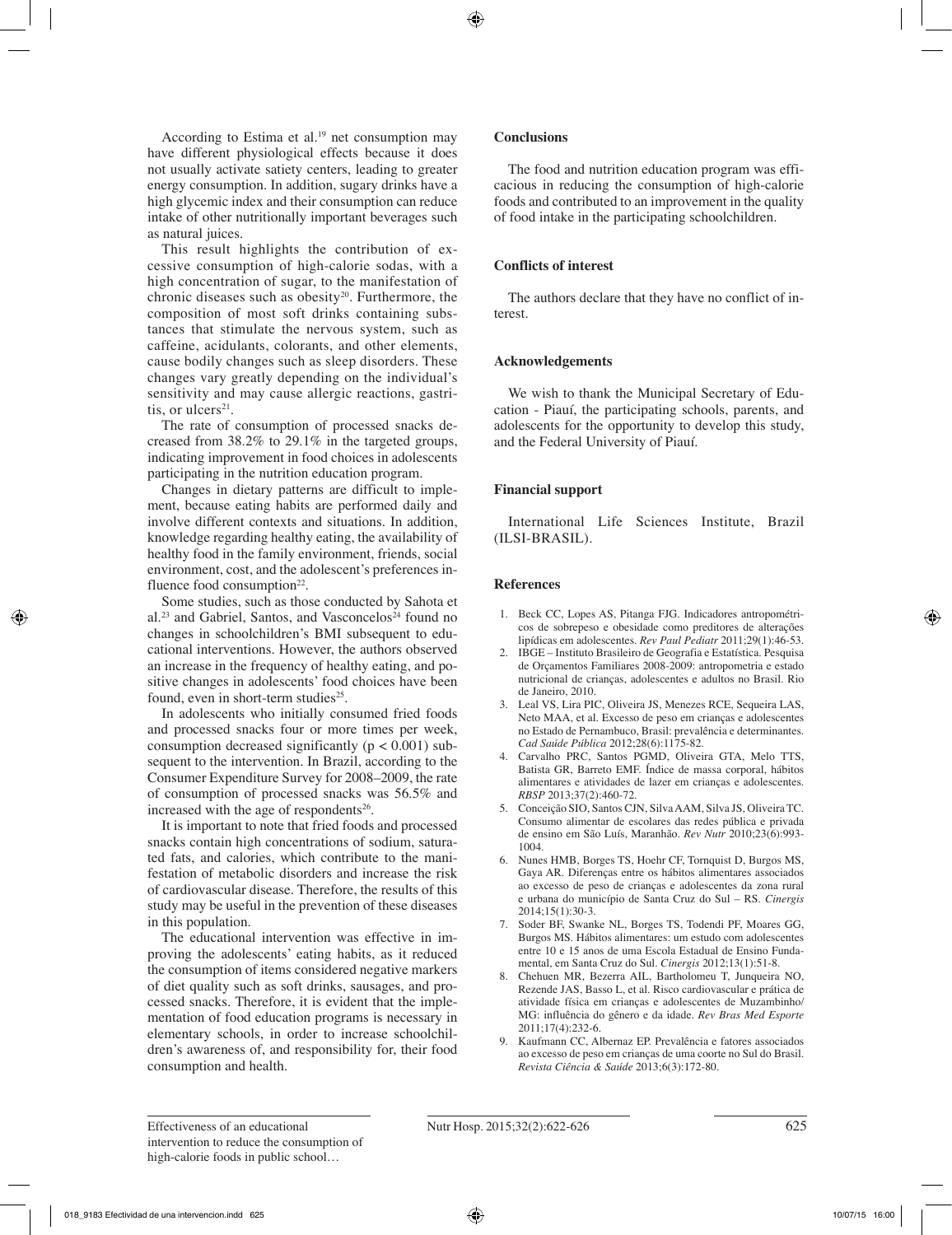According to Estima et al. $19$  net consumption may have different physiological effects because it does not usually activate satiety centers, leading to greater energy consumption. In addition, sugary drinks have a high glycemic index and their consumption can reduce intake of other nutritionally important beverages such as natural juices.

This result highlights the contribution of excessive consumption of high-calorie sodas, with a high concentration of sugar, to the manifestation of chronic diseases such as obesity<sup>20</sup>. Furthermore, the composition of most soft drinks containing substances that stimulate the nervous system, such as caffeine, acidulants, colorants, and other elements, cause bodily changes such as sleep disorders. These changes vary greatly depending on the individual's sensitivity and may cause allergic reactions, gastritis, or ulcers $21$ .

The rate of consumption of processed snacks decreased from 38.2% to 29.1% in the targeted groups, indicating improvement in food choices in adolescents participating in the nutrition education program.

Changes in dietary patterns are difficult to implement, because eating habits are performed daily and involve different contexts and situations. In addition, knowledge regarding healthy eating, the availability of healthy food in the family environment, friends, social environment, cost, and the adolescent's preferences influence food consumption $22$ .

Some studies, such as those conducted by Sahota et al.<sup>23</sup> and Gabriel, Santos, and Vasconcelos<sup> $24$ </sup> found no changes in schoolchildren's BMI subsequent to educational interventions. However, the authors observed an increase in the frequency of healthy eating, and positive changes in adolescents' food choices have been found, even in short-term studies<sup>25</sup>.

In adolescents who initially consumed fried foods and processed snacks four or more times per week, consumption decreased significantly ( $p < 0.001$ ) subsequent to the intervention. In Brazil, according to the Consumer Expenditure Survey for 2008–2009, the rate of consumption of processed snacks was 56.5% and increased with the age of respondents $26$ .

It is important to note that fried foods and processed snacks contain high concentrations of sodium, saturated fats, and calories, which contribute to the manifestation of metabolic disorders and increase the risk of cardiovascular disease. Therefore, the results of this study may be useful in the prevention of these diseases in this population.

The educational intervention was effective in improving the adolescents' eating habits, as it reduced the consumption of items considered negative markers of diet quality such as soft drinks, sausages, and processed snacks. Therefore, it is evident that the implementation of food education programs is necessary in elementary schools, in order to increase schoolchildren's awareness of, and responsibility for, their food consumption and health.

## **Conclusions**

The food and nutrition education program was efficacious in reducing the consumption of high-calorie foods and contributed to an improvement in the quality of food intake in the participating schoolchildren.

# **Conflicts of interest**

The authors declare that they have no conflict of interest.

## **Acknowledgements**

We wish to thank the Municipal Secretary of Education - Piauí, the participating schools, parents, and adolescents for the opportunity to develop this study, and the Federal University of Piauí.

## **Financial support**

International Life Sciences Institute, Brazil (ILSI-BRASIL).

## **References**

- 1. Beck CC, Lopes AS, Pitanga FJG. Indicadores antropométricos de sobrepeso e obesidade como preditores de alterações lipídicas em adolescentes. *Rev Paul Pediatr* 2011;29(1):46-53.
- 2. IBGE Instituto Brasileiro de Geografia e Estatística. Pesquisa de Orçamentos Familiares 2008-2009: antropometria e estado nutricional de crianças, adolescentes e adultos no Brasil. Rio de Janeiro, 2010.
- 3. Leal VS, Lira PIC, Oliveira JS, Menezes RCE, Sequeira LAS, Neto MAA, et al. Excesso de peso em crianças e adolescentes no Estado de Pernambuco, Brasil: prevalência e determinantes. *Cad Saúde Pública* 2012;28(6):1175-82.
- 4. Carvalho PRC, Santos PGMD, Oliveira GTA, Melo TTS, Batista GR, Barreto EMF. Índice de massa corporal, hábitos alimentares e atividades de lazer em crianças e adolescentes. *RBSP* 2013;37(2):460-72.
- 5. Conceição SIO, Santos CJN, Silva AAM, Silva JS, Oliveira TC. Consumo alimentar de escolares das redes pública e privada de ensino em São Luís, Maranhão*. Rev Nutr* 2010;23(6):993- 1004.
- 6. Nunes HMB, Borges TS, Hoehr CF, Tornquist D, Burgos MS, Gaya AR. Diferenças entre os hábitos alimentares associados ao excesso de peso de crianças e adolescentes da zona rural e urbana do município de Santa Cruz do Sul – RS. *Cinergis* 2014;15(1):30-3.
- 7. Soder BF, Swanke NL, Borges TS, Todendi PF, Moares GG, Burgos MS. Hábitos alimentares: um estudo com adolescentes entre 10 e 15 anos de uma Escola Estadual de Ensino Fundamental, em Santa Cruz do Sul. *Cinergis* 2012;13(1):51-8.
- 8. Chehuen MR, Bezerra AIL, Bartholomeu T, Junqueira NO, Rezende JAS, Basso L, et al. Risco cardiovascular e prática de atividade física em crianças e adolescentes de Muzambinho/ MG: influência do gênero e da idade. *Rev Bras Med Esporte* 2011;17(4):232-6.
- 9. Kaufmann CC, Albernaz EP. Prevalência e fatores associados ao excesso de peso em crianças de uma coorte no Sul do Brasil. *Revista Ciência & Saúde* 2013;6(3):172-80.